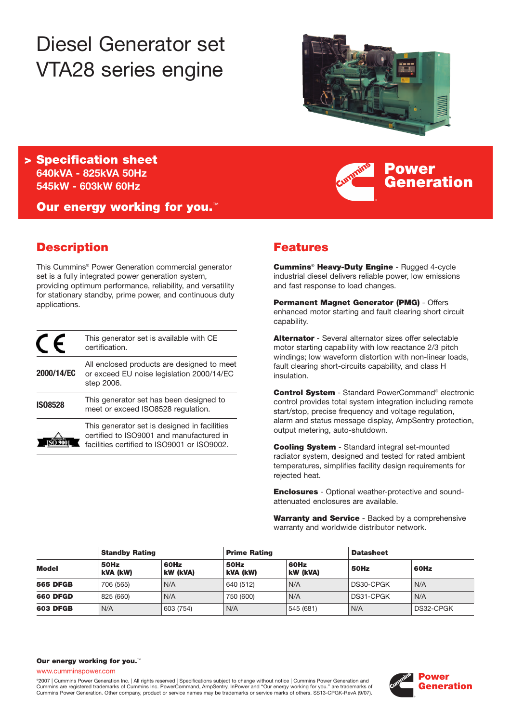# Diesel Generator set VTA28 series engine



**Power**

**Generation**

**> Specification sheet 640kVA - 825kVA 50Hz 545kW - 603kW 60Hz**

**Our energy working for you.**™

# **Description**

This Cummins® Power Generation commercial generator set is a fully integrated power generation system, providing optimum performance, reliability, and versatility for stationary standby, prime power, and continuous duty applications.

|                | This generator set is available with CE<br>certification.                                                                               |
|----------------|-----------------------------------------------------------------------------------------------------------------------------------------|
| 2000/14/EC     | All enclosed products are designed to meet<br>or exceed EU noise legislation 2000/14/EC<br>step 2006.                                   |
| <b>IS08528</b> | This generator set has been designed to<br>meet or exceed ISO8528 regulation.                                                           |
|                | This generator set is designed in facilities<br>certified to ISO9001 and manufactured in<br>facilities certified to ISO9001 or ISO9002. |

# **Features**

**Cummins**® **Heavy-Duty Engine** - Rugged 4-cycle industrial diesel delivers reliable power, low emissions and fast response to load changes.

**Permanent Magnet Generator (PMG)** - Offers enhanced motor starting and fault clearing short circuit capability.

**Alternator** - Several alternator sizes offer selectable motor starting capability with low reactance 2/3 pitch windings; low waveform distortion with non-linear loads, fault clearing short-circuits capability, and class H insulation.

**Control System** - Standard PowerCommand® electronic control provides total system integration including remote start/stop, precise frequency and voltage regulation, alarm and status message display, AmpSentry protection, output metering, auto-shutdown.

**Cooling System** - Standard integral set-mounted radiator system, designed and tested for rated ambient temperatures, simplifies facility design requirements for rejected heat.

**Enclosures** - Optional weather-protective and soundattenuated enclosures are available.

**Warranty and Service** - Backed by a comprehensive warranty and worldwide distributor network.

| <b>Standby Rating</b> |                  | <b>Prime Rating</b> |                  | <b>Datasheet</b> |           |           |
|-----------------------|------------------|---------------------|------------------|------------------|-----------|-----------|
| <b>Model</b>          | 50Hz<br>kVA (kW) | 60Hz<br>kW (kVA)    | 50Hz<br>kVA (kW) | 60Hz<br>kW (kVA) | 50Hz      | 60Hz      |
| <b>565 DFGB</b>       | 706 (565)        | N/A                 | 640 (512)        | N/A              | DS30-CPGK | N/A       |
| <b>660 DFGD</b>       | 825 (660)        | N/A                 | 750 (600)        | N/A              | DS31-CPGK | N/A       |
| <b>603 DFGB</b>       | N/A              | 603 (754)           | N/A              | 545 (681)        | N/A       | DS32-CPGK |

#### **Our energy working for you.**™

www.cumminspower.com

©2007 | Cummins Power Generation Inc. | All rights reserved | Specifications subject to change without notice | Cummins Power Generation and Cummins are registered trademarks of Cummins Inc. PowerCommand, AmpSentry, InPower and "Our energy working for you." are trademarks of Cummins Power Generation. Other company, product or service names may be trademarks or service marks of others. SS13-CPGK-RevA (9/07).

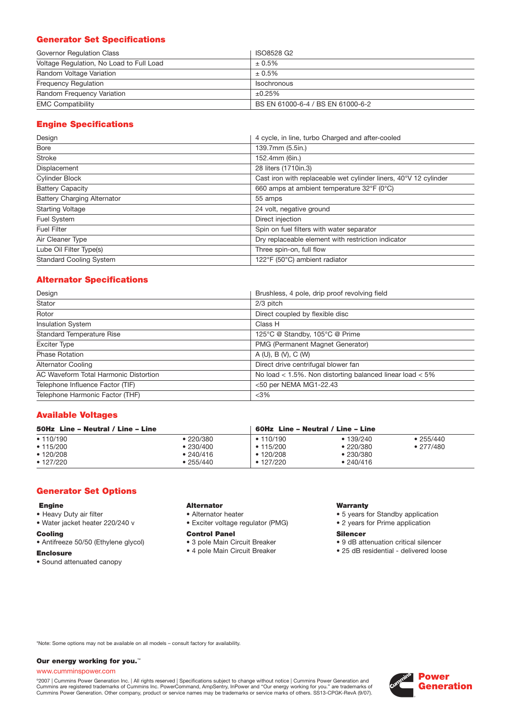# **Generator Set Specifications**

| Governor Regulation Class                | ISO8528 G2                        |
|------------------------------------------|-----------------------------------|
| Voltage Regulation, No Load to Full Load | $± 0.5\%$                         |
| Random Voltage Variation                 | $± 0.5\%$                         |
| <b>Frequency Requlation</b>              | <b>Isochronous</b>                |
| Random Frequency Variation               | ±0.25%                            |
| <b>EMC Compatibility</b>                 | BS EN 61000-6-4 / BS EN 61000-6-2 |

# **Engine Specifications**

| 4 cycle, in line, turbo Charged and after-cooled<br>Design |                                                                  |
|------------------------------------------------------------|------------------------------------------------------------------|
| Bore                                                       | 139.7mm (5.5in.)                                                 |
| <b>Stroke</b>                                              | 152.4mm (6in.)                                                   |
| Displacement                                               | 28 liters (1710in.3)                                             |
| <b>Cylinder Block</b>                                      | Cast iron with replaceable wet cylinder liners, 40°V 12 cylinder |
| <b>Battery Capacity</b>                                    | 660 amps at ambient temperature 32°F (0°C)                       |
| <b>Battery Charging Alternator</b>                         | 55 amps                                                          |
| <b>Starting Voltage</b>                                    | 24 volt, negative ground                                         |
| Fuel System                                                | Direct injection                                                 |
| <b>Fuel Filter</b>                                         | Spin on fuel filters with water separator                        |
| Air Cleaner Type                                           | Dry replaceable element with restriction indicator               |
| Lube Oil Filter Type(s)                                    | Three spin-on, full flow                                         |
| <b>Standard Cooling System</b>                             | 122°F (50°C) ambient radiator                                    |

# **Alternator Specifications**

| Design                                   | Brushless, 4 pole, drip proof revolving field                |  |  |
|------------------------------------------|--------------------------------------------------------------|--|--|
| Stator                                   | 2/3 pitch                                                    |  |  |
| Rotor<br>Direct coupled by flexible disc |                                                              |  |  |
| <b>Insulation System</b><br>Class H      |                                                              |  |  |
| <b>Standard Temperature Rise</b>         | 125°C @ Standby, 105°C @ Prime                               |  |  |
| <b>Exciter Type</b>                      | PMG (Permanent Magnet Generator)                             |  |  |
| <b>Phase Rotation</b>                    | A(U), B(V), C(W)                                             |  |  |
| <b>Alternator Cooling</b>                | Direct drive centrifugal blower fan                          |  |  |
| AC Waveform Total Harmonic Distortion    | No load $<$ 1.5%. Non distorting balanced linear load $<$ 5% |  |  |
| Telephone Influence Factor (TIF)         | <50 per NEMA MG1-22.43                                       |  |  |
| Telephone Harmonic Factor (THF)          | $<$ 3%                                                       |  |  |

# **Available Voltages**

| 50Hz Line - Neutral / Line - Line |           |           | 60Hz Line – Neutral / Line – Line |           |  |  |
|-----------------------------------|-----------|-----------|-----------------------------------|-----------|--|--|
| • 110/190                         | •220/380  | • 110/190 | • 139/240                         | • 255/440 |  |  |
| • 115/200                         | •230/400  | • 115/200 | •220/380                          | • 277/480 |  |  |
| $\cdot$ 120/208                   | • 240/416 | • 120/208 | •230/380                          |           |  |  |
| $\cdot$ 127/220                   | •255/440  | • 127/220 | • 240/416                         |           |  |  |

# **Generator Set Options**

# **Engine**

- Heavy Duty air filter
- Water jacket heater 220/240 v

# **Cooling**

• Antifreeze 50/50 (Ethylene glycol)

# **Enclosure**

• Sound attenuated canopy

#### **Alternator**

- Alternator heater
- Exciter voltage regulator (PMG)

## **Control Panel**

- 3 pole Main Circuit Breaker
- 4 pole Main Circuit Breaker

#### **Warranty**

- 5 years for Standby application
- 2 years for Prime application

#### **Silencer**

- 9 dB attenuation critical silencer
- 25 dB residential delivered loose

\*Note: Some options may not be available on all models – consult factory for availability.

### **Our energy working for you.**™

## www.cumminspower.com

°2007 | Cummins Power Generation Inc. | All rights reserved | Specifications subject to change without notice | Cummins Power Generation and<br>Cummins are registered trademarks of Cummins Inc. PowerCommand, AmpSentry, InPow

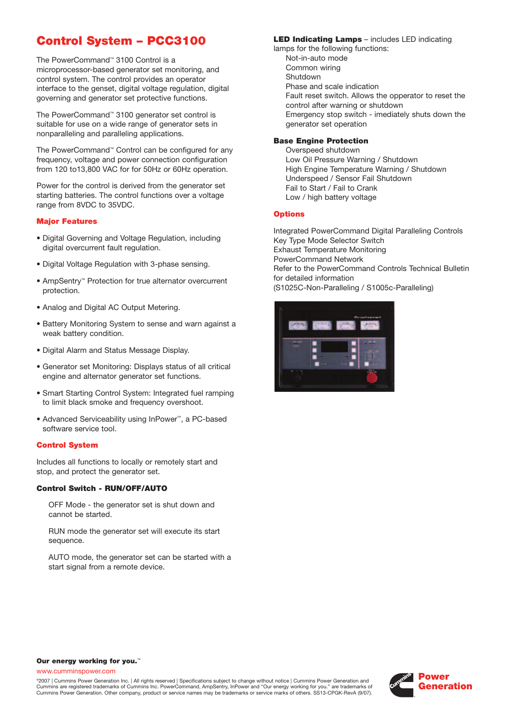# **Control System – PCC3100**

The PowerCommand™ 3100 Control is a microprocessor-based generator set monitoring, and control system. The control provides an operator interface to the genset, digital voltage regulation, digital governing and generator set protective functions.

The PowerCommand™ 3100 generator set control is suitable for use on a wide range of generator sets in nonparalleling and paralleling applications.

The PowerCommand™ Control can be configured for any frequency, voltage and power connection configuration from 120 to13,800 VAC for for 50Hz or 60Hz operation.

Power for the control is derived from the generator set starting batteries. The control functions over a voltage range from 8VDC to 35VDC.

# **Major Features**

- Digital Governing and Voltage Regulation, including digital overcurrent fault regulation.
- Digital Voltage Regulation with 3-phase sensing.
- AmpSentry™ Protection for true alternator overcurrent protection.
- Analog and Digital AC Output Metering.
- Battery Monitoring System to sense and warn against a weak battery condition.
- Digital Alarm and Status Message Display.
- Generator set Monitoring: Displays status of all critical engine and alternator generator set functions.
- Smart Starting Control System: Integrated fuel ramping to limit black smoke and frequency overshoot.
- Advanced Serviceability using InPower™, a PC-based software service tool.

#### **Control System**

Includes all functions to locally or remotely start and stop, and protect the generator set.

#### **Control Switch - RUN/OFF/AUTO**

OFF Mode - the generator set is shut down and cannot be started.

RUN mode the generator set will execute its start sequence.

AUTO mode, the generator set can be started with a start signal from a remote device.

## **LED Indicating Lamps** – includes LED indicating

lamps for the following functions: Not-in-auto mode Common wiring Shutdown Phase and scale indication Fault reset switch. Allows the opperator to reset the control after warning or shutdown Emergency stop switch - imediately shuts down the generator set operation

# **Base Engine Protection**

Overspeed shutdown Low Oil Pressure Warning / Shutdown High Engine Temperature Warning / Shutdown Underspeed / Sensor Fail Shutdown Fail to Start / Fail to Crank Low / high battery voltage

# **Options**

Integrated PowerCommand Digital Paralleling Controls Key Type Mode Selector Switch Exhaust Temperature Monitoring PowerCommand Network Refer to the PowerCommand Controls Technical Bulletin for detailed information (S1025C-Non-Paralleling / S1005c-Paralleling)



#### **Our energy working for you.**™

www.cumminspower.com

©2007 | Cummins Power Generation Inc. | All rights reserved | Specifications subject to change without notice | Cummins Power Generation and Cummins are registered trademarks of Cummins Inc. PowerCommand, AmpSentry, InPower and "Our energy working for you." are trademarks of Cummins Power Generation. Other company, product or service names may be trademarks or service marks of others. SS13-CPGK-RevA (9/07).